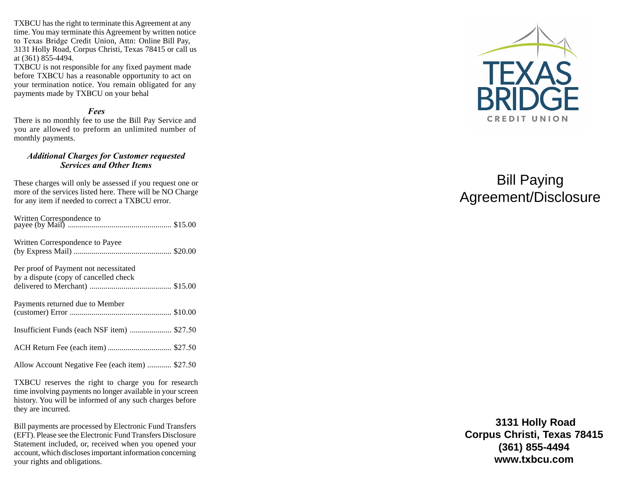TXBCU has the right to terminate this Agreement at any time. You may terminate this Agreement by written notice to Texas Bridge Credit Union, Attn: Online Bill Pa y, 3131 Holly Road, Corpus Christi, Texas 78415 or call us at (361) 855-4494.

TXBCU is not responsible for any fixed payment made before TXBCU has a reasonable opportunity to act on your termination notice. You remain obligated for any payments made by TXBCU on your behal

## *Fees*

There is no monthly fee to use the Bill Pay Service and you are allowed to preform an unlimited number of monthly payments.

# *Additional Charges for Customer requested Services and Other Items*

These charges will only be assessed if you request one or more of the services listed here. There will be NO Charge for any item if needed to correct a TXBCU error.

| Written Correspondence to Payee                                                |  |
|--------------------------------------------------------------------------------|--|
| Per proof of Payment not necessitated<br>by a dispute (copy of cancelled check |  |
| Payments returned due to Member                                                |  |
| Insufficient Funds (each NSF item)  \$27.50                                    |  |
|                                                                                |  |
| Allow Account Negative Fee (each item)  \$27.50                                |  |

TXBCU reserves the right to charge you for research time involving payments no longer available in your screen history. You will be informed of any such charges before they are incurred.

Bill payments are processed by Electronic Fund Transfers (EFT). Please see the Electronic Fund Transfers Disclosure Statement included, or, received when you opened your account, which discloses important information concerning your rights and obligations.



# Bill Paying Agreement/Disclosure

**3131 Holly Road Corpus Christi, Texas 78415 (361) 855-4494 www.txbcu.com**